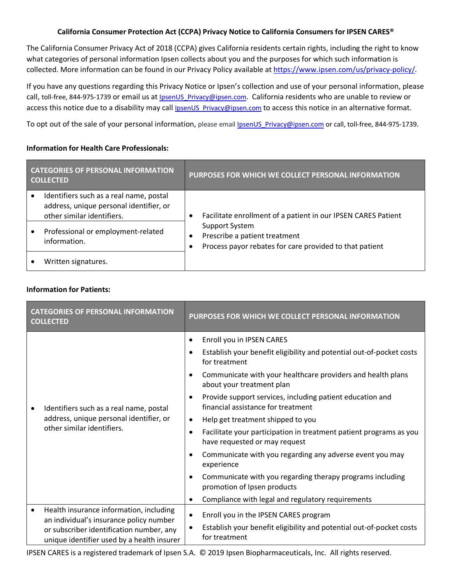## **California Consumer Protection Act (CCPA) Privacy Notice to California Consumers for IPSEN CARES®**

The California Consumer Privacy Act of 2018 (CCPA) gives California residents certain rights, including the right to know what categories of personal information Ipsen collects about you and the purposes for which such information is collected. More information can be found in our Privacy Policy available a[t https://www.ipsen.com/us/privacy-policy/.](https://www.ipsen.com/us/privacy-policy/)

If you have any questions regarding this Privacy Notice or Ipsen's collection and use of your personal information, please call, toll-free, 844-975-1739 or email us at **IpsenUS\_Privacy@ipsen.com.** California residents who are unable to review or access this notice due to a disability may call IpsenUS Privacy@ipsen.com to access this notice in an alternative format.

To opt out of the sale of your personal information, please email IpsenUS Privacy@ipsen.com or call, toll-free, 844-975-1739.

## **Information for Health Care Professionals:**

| <b>CATEGORIES OF PERSONAL INFORMATION</b><br><b>COLLECTED</b> |                                                                                                                  | PURPOSES FOR WHICH WE COLLECT PERSONAL INFORMATION                                                                |  |
|---------------------------------------------------------------|------------------------------------------------------------------------------------------------------------------|-------------------------------------------------------------------------------------------------------------------|--|
|                                                               | Identifiers such as a real name, postal<br>address, unique personal identifier, or<br>other similar identifiers. | Facilitate enrollment of a patient in our IPSEN CARES Patient                                                     |  |
|                                                               | Professional or employment-related<br>information.                                                               | <b>Support System</b><br>Prescribe a patient treatment<br>Process payor rebates for care provided to that patient |  |
|                                                               | Written signatures.                                                                                              |                                                                                                                   |  |

## **Information for Patients:**

| <b>CATEGORIES OF PERSONAL INFORMATION</b><br><b>COLLECTED</b>                                                                                                                             | PURPOSES FOR WHICH WE COLLECT PERSONAL INFORMATION                                                                                                                                                                                                                                                                                                                                                                                                                                                                                                                                                                                                                                                                                           |
|-------------------------------------------------------------------------------------------------------------------------------------------------------------------------------------------|----------------------------------------------------------------------------------------------------------------------------------------------------------------------------------------------------------------------------------------------------------------------------------------------------------------------------------------------------------------------------------------------------------------------------------------------------------------------------------------------------------------------------------------------------------------------------------------------------------------------------------------------------------------------------------------------------------------------------------------------|
| Identifiers such as a real name, postal<br>address, unique personal identifier, or<br>other similar identifiers.                                                                          | Enroll you in IPSEN CARES<br>$\bullet$<br>Establish your benefit eligibility and potential out-of-pocket costs<br>for treatment<br>Communicate with your healthcare providers and health plans<br>about your treatment plan<br>Provide support services, including patient education and<br>$\bullet$<br>financial assistance for treatment<br>Help get treatment shipped to you<br>$\bullet$<br>Facilitate your participation in treatment patient programs as you<br>$\bullet$<br>have requested or may request<br>Communicate with you regarding any adverse event you may<br>experience<br>Communicate with you regarding therapy programs including<br>promotion of Ipsen products<br>Compliance with legal and regulatory requirements |
| Health insurance information, including<br>$\bullet$<br>an individual's insurance policy number<br>or subscriber identification number, any<br>unique identifier used by a health insurer | Enroll you in the IPSEN CARES program<br>Establish your benefit eligibility and potential out-of-pocket costs<br>for treatment                                                                                                                                                                                                                                                                                                                                                                                                                                                                                                                                                                                                               |